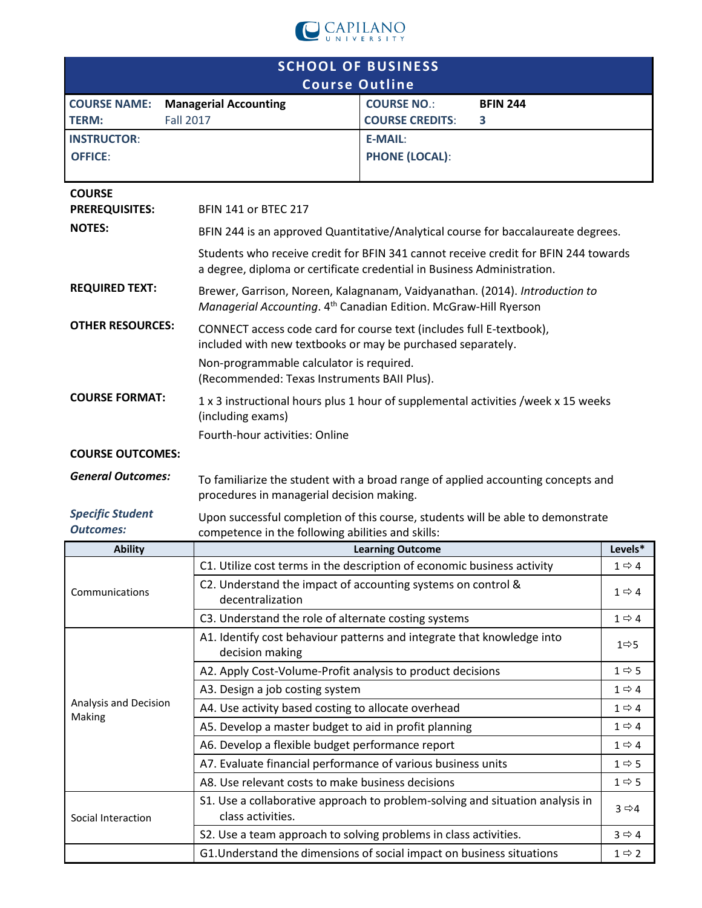

| <b>SCHOOL OF BUSINESS</b>                         |                                                                                                                                                                |                         |                   |                   |  |  |
|---------------------------------------------------|----------------------------------------------------------------------------------------------------------------------------------------------------------------|-------------------------|-------------------|-------------------|--|--|
|                                                   | <b>Course Outline</b>                                                                                                                                          |                         |                   |                   |  |  |
| <b>COURSE NAME:</b>                               | <b>Managerial Accounting</b>                                                                                                                                   | <b>COURSE NO.:</b>      | <b>BFIN 244</b>   |                   |  |  |
| <b>Fall 2017</b><br><b>TERM:</b>                  |                                                                                                                                                                | <b>COURSE CREDITS:</b>  | 3                 |                   |  |  |
| <b>INSTRUCTOR:</b>                                |                                                                                                                                                                | <b>E-MAIL:</b>          |                   |                   |  |  |
| <b>OFFICE:</b>                                    |                                                                                                                                                                | <b>PHONE (LOCAL):</b>   |                   |                   |  |  |
|                                                   |                                                                                                                                                                |                         |                   |                   |  |  |
| <b>COURSE</b>                                     |                                                                                                                                                                |                         |                   |                   |  |  |
| <b>PREREQUISITES:</b>                             | <b>BFIN 141 or BTEC 217</b>                                                                                                                                    |                         |                   |                   |  |  |
| <b>NOTES:</b>                                     | BFIN 244 is an approved Quantitative/Analytical course for baccalaureate degrees.                                                                              |                         |                   |                   |  |  |
|                                                   | Students who receive credit for BFIN 341 cannot receive credit for BFIN 244 towards<br>a degree, diploma or certificate credential in Business Administration. |                         |                   |                   |  |  |
| <b>REQUIRED TEXT:</b>                             | Brewer, Garrison, Noreen, Kalagnanam, Vaidyanathan. (2014). Introduction to<br>Managerial Accounting. 4 <sup>th</sup> Canadian Edition. McGraw-Hill Ryerson    |                         |                   |                   |  |  |
| <b>OTHER RESOURCES:</b>                           | CONNECT access code card for course text (includes full E-textbook),<br>included with new textbooks or may be purchased separately.                            |                         |                   |                   |  |  |
|                                                   | Non-programmable calculator is required.<br>(Recommended: Texas Instruments BAII Plus).                                                                        |                         |                   |                   |  |  |
| <b>COURSE FORMAT:</b>                             | 1 x 3 instructional hours plus 1 hour of supplemental activities /week x 15 weeks<br>(including exams)                                                         |                         |                   |                   |  |  |
|                                                   | Fourth-hour activities: Online                                                                                                                                 |                         |                   |                   |  |  |
| <b>COURSE OUTCOMES:</b>                           |                                                                                                                                                                |                         |                   |                   |  |  |
| <b>General Outcomes:</b>                          |                                                                                                                                                                |                         |                   |                   |  |  |
|                                                   | To familiarize the student with a broad range of applied accounting concepts and<br>procedures in managerial decision making.                                  |                         |                   |                   |  |  |
| <b>Specific Student</b><br><b>Outcomes:</b>       | Upon successful completion of this course, students will be able to demonstrate<br>competence in the following abilities and skills:                           |                         |                   |                   |  |  |
| <b>Ability</b>                                    |                                                                                                                                                                | <b>Learning Outcome</b> |                   | Levels*           |  |  |
|                                                   | C1. Utilize cost terms in the description of economic business activity                                                                                        |                         |                   | $1 \Rightarrow 4$ |  |  |
| Communications                                    | C2. Understand the impact of accounting systems on control &<br>decentralization                                                                               |                         |                   |                   |  |  |
|                                                   | C3. Understand the role of alternate costing systems                                                                                                           |                         | $1 \Rightarrow 4$ |                   |  |  |
|                                                   | A1. Identify cost behaviour patterns and integrate that knowledge into<br>decision making                                                                      |                         |                   | 1⇒5               |  |  |
|                                                   | A2. Apply Cost-Volume-Profit analysis to product decisions                                                                                                     |                         |                   |                   |  |  |
|                                                   | A3. Design a job costing system                                                                                                                                |                         | $1 \Rightarrow 4$ |                   |  |  |
| Analysis and Decision                             | A4. Use activity based costing to allocate overhead                                                                                                            |                         | $1 \Rightarrow 4$ |                   |  |  |
| Making                                            | A5. Develop a master budget to aid in profit planning                                                                                                          |                         |                   |                   |  |  |
|                                                   | A6. Develop a flexible budget performance report<br>$1 \Rightarrow 4$                                                                                          |                         |                   |                   |  |  |
|                                                   | A7. Evaluate financial performance of various business units                                                                                                   |                         |                   |                   |  |  |
| A8. Use relevant costs to make business decisions |                                                                                                                                                                |                         |                   |                   |  |  |
| Social Interaction                                | S1. Use a collaborative approach to problem-solving and situation analysis in<br>class activities.                                                             |                         |                   | $3 \Rightarrow 4$ |  |  |
|                                                   | S2. Use a team approach to solving problems in class activities.<br>$3 \Leftrightarrow 4$                                                                      |                         |                   |                   |  |  |
|                                                   | G1. Understand the dimensions of social impact on business situations                                                                                          |                         |                   | $1 \Rightarrow 2$ |  |  |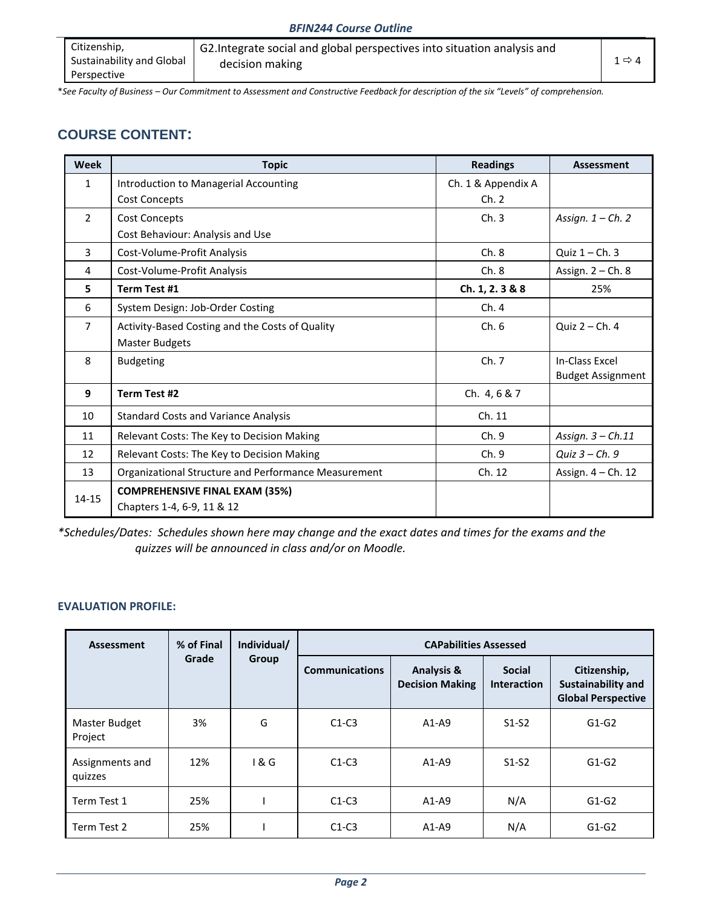| Citizenship,              | G2. Integrate social and global perspectives into situation analysis and |                   |
|---------------------------|--------------------------------------------------------------------------|-------------------|
| Sustainability and Global | decision making                                                          | $1 \Rightarrow 4$ |
| Perspective               |                                                                          |                   |

\**See Faculty of Business – Our Commitment to Assessment and Constructive Feedback for description of the six "Levels" of comprehension.*

## **COURSE CONTENT:**

| Week           | <b>Topic</b>                                         | <b>Readings</b>    | <b>Assessment</b>        |
|----------------|------------------------------------------------------|--------------------|--------------------------|
| $\mathbf{1}$   | Introduction to Managerial Accounting                | Ch. 1 & Appendix A |                          |
|                | <b>Cost Concepts</b>                                 | Ch. 2              |                          |
| $\overline{2}$ | Cost Concepts                                        | Ch.3               | Assign. $1 - Ch.$ 2      |
|                | Cost Behaviour: Analysis and Use                     |                    |                          |
| 3              | Cost-Volume-Profit Analysis                          | Ch.8               | Quiz $1 - Ch.$ 3         |
| 4              | Cost-Volume-Profit Analysis                          | Ch.8               | Assign. $2 - Ch. 8$      |
| 5              | Term Test #1                                         | Ch. 1, 2. 3 & 8    | 25%                      |
| 6              | System Design: Job-Order Costing                     | Ch. 4              |                          |
| 7              | Activity-Based Costing and the Costs of Quality      | Ch.6               | Quiz $2 - Ch. 4$         |
|                | Master Budgets                                       |                    |                          |
| 8              | <b>Budgeting</b>                                     | Ch.7               | In-Class Excel           |
|                |                                                      |                    | <b>Budget Assignment</b> |
| 9              | Term Test #2                                         | Ch. 4, 6 & 7       |                          |
| 10             | <b>Standard Costs and Variance Analysis</b>          | Ch. 11             |                          |
| 11             | Relevant Costs: The Key to Decision Making           | Ch.9               | Assign. $3 - Ch.11$      |
| 12             | Relevant Costs: The Key to Decision Making           | Ch.9               | Quiz 3 - Ch. 9           |
| 13             | Organizational Structure and Performance Measurement | Ch. 12             | Assign. 4 - Ch. 12       |
| $14 - 15$      | <b>COMPREHENSIVE FINAL EXAM (35%)</b>                |                    |                          |
|                | Chapters 1-4, 6-9, 11 & 12                           |                    |                          |

*\*Schedules/Dates: Schedules shown here may change and the exact dates and times for the exams and the quizzes will be announced in class and/or on Moodle.*

### **EVALUATION PROFILE:**

| <b>Assessment</b>          | % of Final | Individual/ | <b>CAPabilities Assessed</b> |                                                 |                                     |                                                                        |  |
|----------------------------|------------|-------------|------------------------------|-------------------------------------------------|-------------------------------------|------------------------------------------------------------------------|--|
|                            | Grade      | Group       | <b>Communications</b>        | <b>Analysis &amp;</b><br><b>Decision Making</b> | <b>Social</b><br><b>Interaction</b> | Citizenship,<br><b>Sustainability and</b><br><b>Global Perspective</b> |  |
| Master Budget<br>Project   | 3%         | G           | $C1-C3$                      | $A1-A9$                                         | $S1-S2$                             | $G1-G2$                                                                |  |
| Assignments and<br>quizzes | 12%        | 1 & G       | $C1-C3$                      | $A1-A9$                                         | $S1-S2$                             | $G1-G2$                                                                |  |
| Term Test 1                | 25%        |             | $C1-C3$                      | $A1-A9$                                         | N/A                                 | $G1-G2$                                                                |  |
| Term Test 2                | 25%        |             | $C1-C3$                      | $A1-A9$                                         | N/A                                 | $G1-G2$                                                                |  |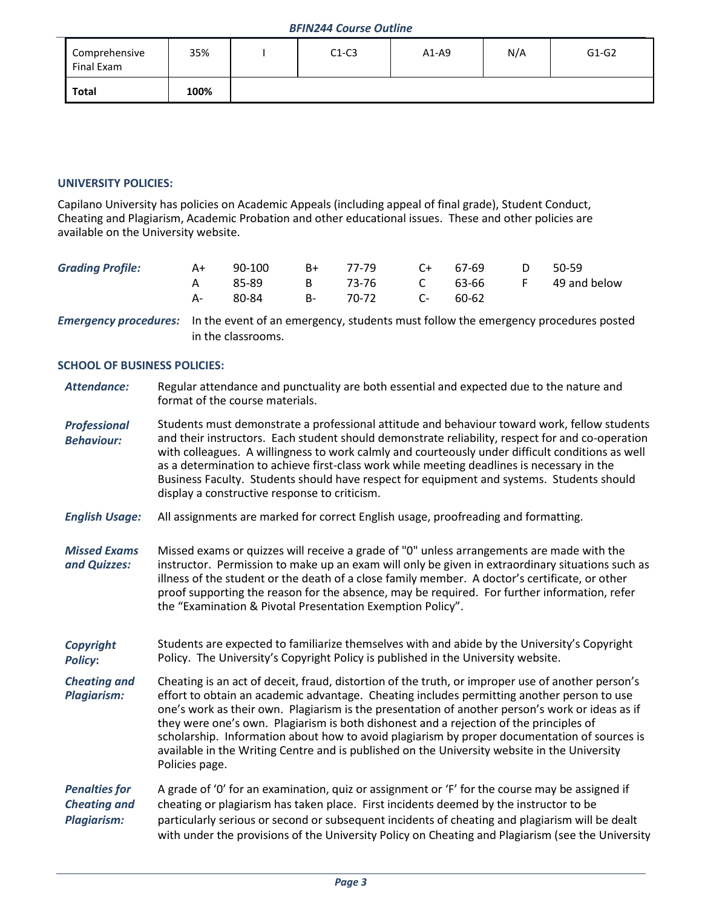| Comprehensive<br>Final Exam | 35%  | $C1-C3$ | $A1-A9$ | N/A | $G1-G2$ |
|-----------------------------|------|---------|---------|-----|---------|
| <b>Total</b>                | 100% |         |         |     |         |

### **UNIVERSITY POLICIES:**

Capilano University has policies on Academic Appeals (including appeal of final grade), Student Conduct, Cheating and Plagiarism, Academic Probation and other educational issues. These and other policies are available on the University website.

| <b>Grading Profile:</b> | A+ | 90-100 | B+ 77-79 C+ 67-69 D 50-59 |       |                                      |
|-------------------------|----|--------|---------------------------|-------|--------------------------------------|
|                         |    |        |                           |       | 85-89 B 73-76 C 63-66 F 49 and below |
|                         |    |        | 80-84 B- 70-72 C-         | 60-62 |                                      |

*Emergency procedures:* In the event of an emergency, students must follow the emergency procedures posted in the classrooms.

#### **SCHOOL OF BUSINESS POLICIES:**

| Attendance: | Regular attendance and punctuality are both essential and expected due to the nature and |
|-------------|------------------------------------------------------------------------------------------|
|             | format of the course materials.                                                          |

*Professional Behaviour:* Students must demonstrate a professional attitude and behaviour toward work, fellow students and their instructors. Each student should demonstrate reliability, respect for and co-operation with colleagues. A willingness to work calmly and courteously under difficult conditions as well as a determination to achieve first-class work while meeting deadlines is necessary in the Business Faculty. Students should have respect for equipment and systems. Students should display a constructive response to criticism.

- *English Usage:* All assignments are marked for correct English usage, proofreading and formatting.
- *Missed Exams and Quizzes:* Missed exams or quizzes will receive a grade of "0" unless arrangements are made with the instructor. Permission to make up an exam will only be given in extraordinary situations such as illness of the student or the death of a close family member. A doctor's certificate, or other proof supporting the reason for the absence, may be required. For further information, refer the "Examination & Pivotal Presentation Exemption Policy".
- *Copyright Policy***:** Students are expected to familiarize themselves with and abide by the University's Copyright Policy. The University's Copyright Policy is published in the University website.
- *Cheating and Plagiarism:* Cheating is an act of deceit, fraud, distortion of the truth, or improper use of another person's effort to obtain an academic advantage. Cheating includes permitting another person to use one's work as their own. Plagiarism is the presentation of another person's work or ideas as if they were one's own. Plagiarism is both dishonest and a rejection of the principles of scholarship. Information about how to avoid plagiarism by proper documentation of sources is available in the Writing Centre and is published on the University website in the University Policies page.

*Penalties for Cheating and Plagiarism:* A grade of '0' for an examination, quiz or assignment or 'F' for the course may be assigned if cheating or plagiarism has taken place. First incidents deemed by the instructor to be particularly serious or second or subsequent incidents of cheating and plagiarism will be dealt with under the provisions of the University Policy on Cheating and Plagiarism (see the University